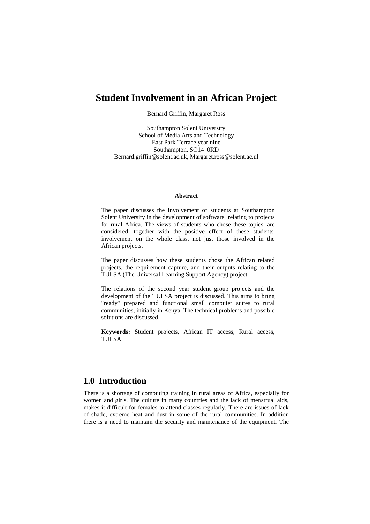# **Student Involvement in an African Project**

Bernard Griffin, Margaret Ross

Southampton Solent University School of Media Arts and Technology East Park Terrace year nine Southampton, SO14 0RD [Bernard.griffin@solent.ac.uk,](mailto:Bernard.griffin@solent.ac.uk) [Margaret.ross@solent.ac.ul](mailto:Margaret.ross@solent.ac.ul)

#### **Abstract**

The paper discusses the involvement of students at Southampton Solent University in the development of software relating to projects for rural Africa. The views of students who chose these topics, are considered, together with the positive effect of these students' involvement on the whole class, not just those involved in the African projects.

The paper discusses how these students chose the African related projects, the requirement capture, and their outputs relating to the TULSA (The Universal Learning Support Agency) project.

The relations of the second year student group projects and the development of the TULSA project is discussed. This aims to bring "ready" prepared and functional small computer suites to rural communities, initially in Kenya. The technical problems and possible solutions are discussed.

**Keywords:** Student projects, African IT access, Rural access, TULSA

## **1.0 Introduction**

There is a shortage of computing training in rural areas of Africa, especially for women and girls. The culture in many countries and the lack of menstrual aids, makes it difficult for females to attend classes regularly. There are issues of lack of shade, extreme heat and dust in some of the rural communities. In addition there is a need to maintain the security and maintenance of the equipment. The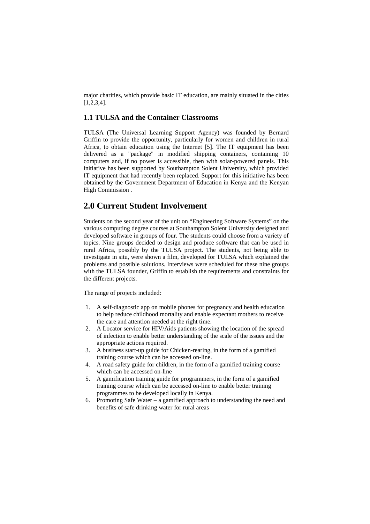major charities, which provide basic IT education, are mainly situated in the cities [1,2,3,4].

#### **1.1 TULSA and the Container Classrooms**

TULSA (The Universal Learning Support Agency) was founded by Bernard Griffin to provide the opportunity, particularly for women and children in rural Africa, to obtain education using the Internet [5]. The IT equipment has been delivered as a "package" in modified shipping containers, containing 10 computers and, if no power is accessible, then with solar-powered panels. This initiative has been supported by Southampton Solent University, which provided IT equipment that had recently been replaced. Support for this initiative has been obtained by the Government Department of Education in Kenya and the Kenyan High Commission .

## **2.0 Current Student Involvement**

Students on the second year of the unit on "Engineering Software Systems" on the various computing degree courses at Southampton Solent University designed and developed software in groups of four. The students could choose from a variety of topics. Nine groups decided to design and produce software that can be used in rural Africa, possibly by the TULSA project. The students, not being able to investigate in situ, were shown a film, developed for TULSA which explained the problems and possible solutions. Interviews were scheduled for these nine groups with the TULSA founder, Griffin to establish the requirements and constraints for the different projects.

The range of projects included:

- 1. A self-diagnostic app on mobile phones for pregnancy and health education to help reduce childhood mortality and enable expectant mothers to receive the care and attention needed at the right time.
- 2. A Locator service for HIV/Aids patients showing the location of the spread of infection to enable better understanding of the scale of the issues and the appropriate actions required.
- 3. A business start-up guide for Chicken-rearing, in the form of a gamified training course which can be accessed on-line.
- 4. A road safety guide for children, in the form of a gamified training course which can be accessed on-line
- 5. A gamification training guide for programmers, in the form of a gamified training course which can be accessed on-line to enable better training programmes to be developed locally in Kenya.
- 6. Promoting Safe Water a gamified approach to understanding the need and benefits of safe drinking water for rural areas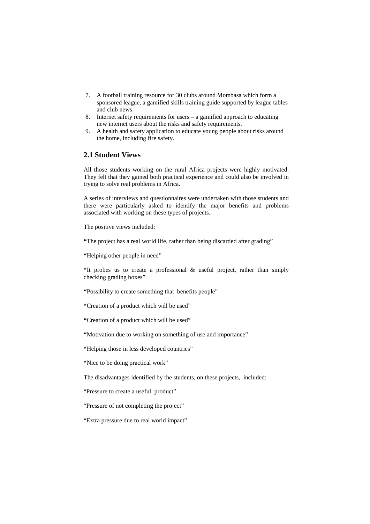- 7. A football training resource for 30 clubs around Mombasa which form a sponsored league, a gamified skills training guide supported by league tables and club news.
- 8. Internet safety requirements for users a gamified approach to educating new internet users about the risks and safety requirements.
- 9. A health and safety application to educate young people about risks around the home, including fire safety.

### **2.1 Student Views**

All those students working on the rural Africa projects were highly motivated. They felt that they gained both practical experience and could also be involved in trying to solve real problems in Africa.

A series of interviews and questionnaires were undertaken with those students and there were particularly asked to identify the major benefits and problems associated with working on these types of projects.

The positive views included:

**"**The project has a real world life, rather than being discarded after grading"

**"**Helping other people in need"

**"**It probes us to create a professional & useful project, rather than simply checking grading boxes"

**"**Possibility to create something that benefits people"

**"**Creation of a product which will be used"

**"**Creation of a product which will be used"

**"**Motivation due to working on something of use and importance"

**"**Helping those in less developed countries"

**"**Nice to be doing practical work"

The disadvantages identified by the students, on these projects, included:

"Pressure to create a useful product"

"Pressure of not completing the project"

"Extra pressure due to real world impact"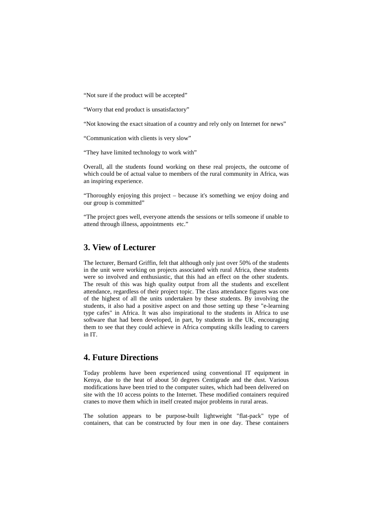"Not sure if the product will be accepted"

"Worry that end product is unsatisfactory"

"Not knowing the exact situation of a country and rely only on Internet for news"

"Communication with clients is very slow"

"They have limited technology to work with"

Overall, all the students found working on these real projects, the outcome of which could be of actual value to members of the rural community in Africa, was an inspiring experience.

"Thoroughly enjoying this project – because it's something we enjoy doing and our group is committed"

"The project goes well, everyone attends the sessions or tells someone if unable to attend through illness, appointments etc."

## **3. View of Lecturer**

The lecturer, Bernard Griffin, felt that although only just over 50% of the students in the unit were working on projects associated with rural Africa, these students were so involved and enthusiastic, that this had an effect on the other students. The result of this was high quality output from all the students and excellent attendance, regardless of their project topic. The class attendance figures was one of the highest of all the units undertaken by these students. By involving the students, it also had a positive aspect on and those setting up these "e-learning type cafes" in Africa. It was also inspirational to the students in Africa to use software that had been developed, in part, by students in the UK, encouraging them to see that they could achieve in Africa computing skills leading to careers in IT.

## **4. Future Directions**

Today problems have been experienced using conventional IT equipment in Kenya, due to the heat of about 50 degrees Centigrade and the dust. Various modifications have been tried to the computer suites, which had been delivered on site with the 10 access points to the Internet. These modified containers required cranes to move them which in itself created major problems in rural areas.

The solution appears to be purpose-built lightweight "flat-pack" type of containers, that can be constructed by four men in one day. These containers